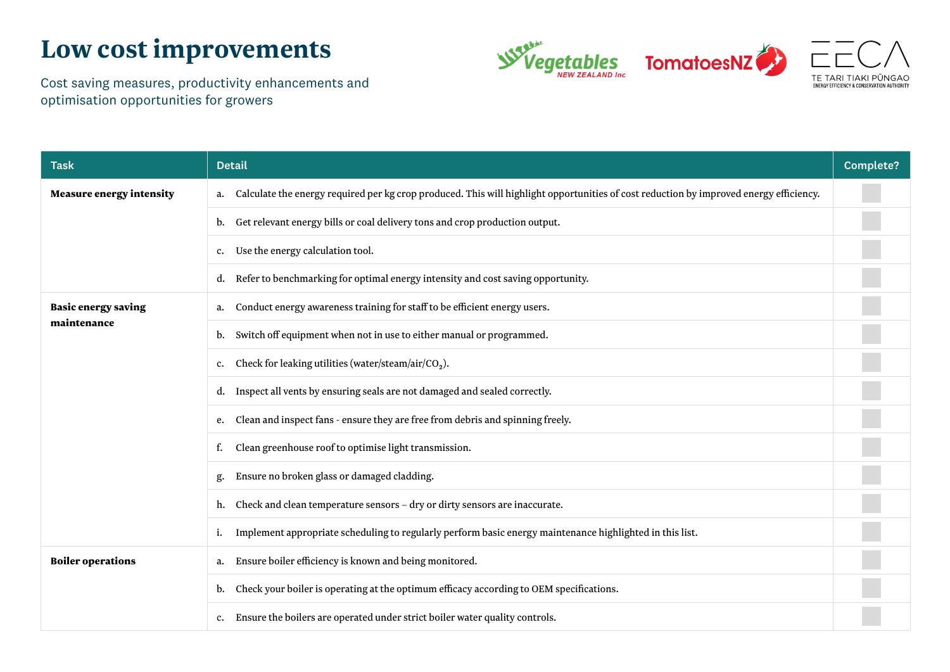## **Low cost improvements**



Cost saving measures, productivity enhancements and optimisation opportunities for growers

| <b>Task</b>                               | <b>Detail</b>                                                                                                                                | <b>Complete?</b> |
|-------------------------------------------|----------------------------------------------------------------------------------------------------------------------------------------------|------------------|
| <b>Measure energy intensity</b>           | Calculate the energy required per kg crop produced. This will highlight opportunities of cost reduction by improved energy efficiency.<br>a. |                  |
|                                           | Get relevant energy bills or coal delivery tons and crop production output.<br>b.                                                            |                  |
|                                           | Use the energy calculation tool.<br>c.                                                                                                       |                  |
|                                           | Refer to benchmarking for optimal energy intensity and cost saving opportunity.<br>d.                                                        |                  |
| <b>Basic energy saving</b><br>maintenance | Conduct energy awareness training for staff to be efficient energy users.<br>a.                                                              |                  |
|                                           | Switch off equipment when not in use to either manual or programmed.<br>b.                                                                   |                  |
|                                           | Check for leaking utilities (water/steam/air/CO <sub>2</sub> ).<br>c.                                                                        |                  |
|                                           | Inspect all vents by ensuring seals are not damaged and sealed correctly.<br>d.                                                              |                  |
|                                           | Clean and inspect fans - ensure they are free from debris and spinning freely.<br>e.                                                         |                  |
|                                           | Clean greenhouse roof to optimise light transmission.<br>f.                                                                                  |                  |
|                                           | Ensure no broken glass or damaged cladding.<br>g.                                                                                            |                  |
|                                           | Check and clean temperature sensors - dry or dirty sensors are inaccurate.<br>h.                                                             |                  |
|                                           | Implement appropriate scheduling to regularly perform basic energy maintenance highlighted in this list.                                     |                  |
| <b>Boiler operations</b>                  | Ensure boiler efficiency is known and being monitored.<br>a.                                                                                 |                  |
|                                           | Check your boiler is operating at the optimum efficacy according to OEM specifications.<br>b.                                                |                  |
|                                           | Ensure the boilers are operated under strict boiler water quality controls.<br>c.                                                            |                  |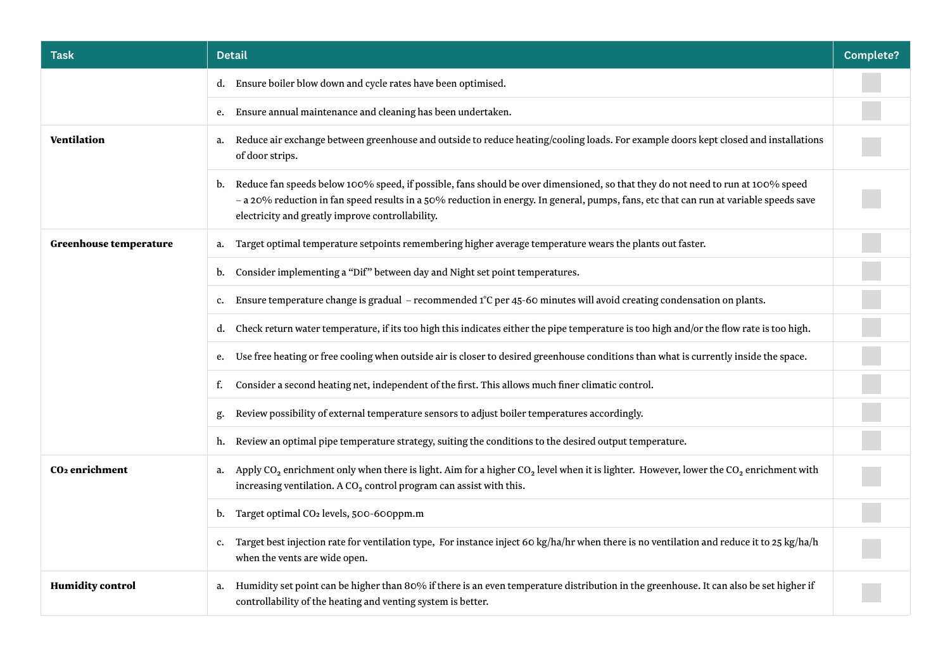| <b>Task</b>                | Detail                                                                                                                                                                                                                                                                                                                              | <b>Complete?</b> |
|----------------------------|-------------------------------------------------------------------------------------------------------------------------------------------------------------------------------------------------------------------------------------------------------------------------------------------------------------------------------------|------------------|
|                            | Ensure boiler blow down and cycle rates have been optimised.<br>d.                                                                                                                                                                                                                                                                  |                  |
|                            | Ensure annual maintenance and cleaning has been undertaken.<br>e.                                                                                                                                                                                                                                                                   |                  |
| Ventilation                | Reduce air exchange between greenhouse and outside to reduce heating/cooling loads. For example doors kept closed and installations<br>a.<br>of door strips.                                                                                                                                                                        |                  |
|                            | Reduce fan speeds below 100% speed, if possible, fans should be over dimensioned, so that they do not need to run at 100% speed<br>b.<br>- a 20% reduction in fan speed results in a 50% reduction in energy. In general, pumps, fans, etc that can run at variable speeds save<br>electricity and greatly improve controllability. |                  |
| Greenhouse temperature     | Target optimal temperature setpoints remembering higher average temperature wears the plants out faster.<br>a.                                                                                                                                                                                                                      |                  |
|                            | Consider implementing a "Dif" between day and Night set point temperatures.<br>b.                                                                                                                                                                                                                                                   |                  |
|                            | Ensure temperature change is gradual - recommended 1°C per 45-60 minutes will avoid creating condensation on plants.<br>c.                                                                                                                                                                                                          |                  |
|                            | Check return water temperature, if its too high this indicates either the pipe temperature is too high and/or the flow rate is too high.<br>d.                                                                                                                                                                                      |                  |
|                            | Use free heating or free cooling when outside air is closer to desired greenhouse conditions than what is currently inside the space.<br>e.                                                                                                                                                                                         |                  |
|                            | Consider a second heating net, independent of the first. This allows much finer climatic control.<br>f.                                                                                                                                                                                                                             |                  |
|                            | Review possibility of external temperature sensors to adjust boiler temperatures accordingly.<br>g.                                                                                                                                                                                                                                 |                  |
|                            | Review an optimal pipe temperature strategy, suiting the conditions to the desired output temperature.<br>h.                                                                                                                                                                                                                        |                  |
| CO <sub>2</sub> enrichment | Apply CO <sub>2</sub> enrichment only when there is light. Aim for a higher CO <sub>2</sub> level when it is lighter. However, lower the CO <sub>2</sub> enrichment with<br>a.<br>increasing ventilation. A CO <sub>2</sub> control program can assist with this.                                                                   |                  |
|                            | Target optimal CO <sub>2</sub> levels, 500-600ppm.m<br>b.                                                                                                                                                                                                                                                                           |                  |
|                            | Target best injection rate for ventilation type, For instance inject 60 kg/ha/hr when there is no ventilation and reduce it to 25 kg/ha/h<br>$c_{\cdot}$<br>when the vents are wide open.                                                                                                                                           |                  |
| <b>Humidity control</b>    | Humidity set point can be higher than 80% if there is an even temperature distribution in the greenhouse. It can also be set higher if<br>a.<br>controllability of the heating and venting system is better.                                                                                                                        |                  |